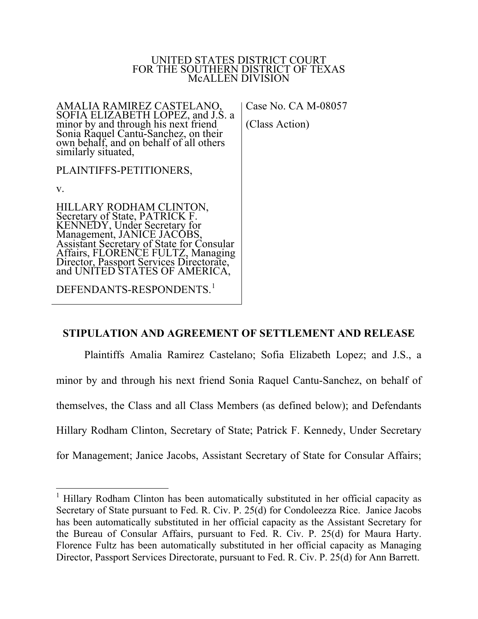#### UNITED STATES DISTRICT COURT FOR THE SOUTHERN DISTRICT OF TEXAS McALLEN DIVISION

AMALIA RAMIREZ CASTELANO, SOFIA ELIZABETH LOPEZ, and J.S. a minor by and through his next friend Sonia Raquel Cantu-Sanchez, on their own behalf, and on behalf of all others similarly situated,

PLAINTIFFS-PETITIONERS,

v.

 $\overline{a}$ 

HILLARY RODHAM CLINTON, Secretary of State, PATRICK F. KENNEDY, Under Secretary for Management, JANICE JACOBS, Assistant Secretary of State for Consular Affairs, FLORENCE FULTZ, Managing Director, Passport Services Directorate, and UNITED STATES OF AMERICA,

DEFENDANTS-RESPONDENTS.<sup>1</sup>

Case No. CA M-08057

(Class Action)

# **STIPULATION AND AGREEMENT OF SETTLEMENT AND RELEASE**

Plaintiffs Amalia Ramirez Castelano; Sofia Elizabeth Lopez; and J.S., a minor by and through his next friend Sonia Raquel Cantu-Sanchez, on behalf of themselves, the Class and all Class Members (as defined below); and Defendants Hillary Rodham Clinton, Secretary of State; Patrick F. Kennedy, Under Secretary for Management; Janice Jacobs, Assistant Secretary of State for Consular Affairs;

<sup>&</sup>lt;sup>1</sup> Hillary Rodham Clinton has been automatically substituted in her official capacity as Secretary of State pursuant to Fed. R. Civ. P. 25(d) for Condoleezza Rice. Janice Jacobs has been automatically substituted in her official capacity as the Assistant Secretary for the Bureau of Consular Affairs, pursuant to Fed. R. Civ. P. 25(d) for Maura Harty. Florence Fultz has been automatically substituted in her official capacity as Managing Director, Passport Services Directorate, pursuant to Fed. R. Civ. P. 25(d) for Ann Barrett.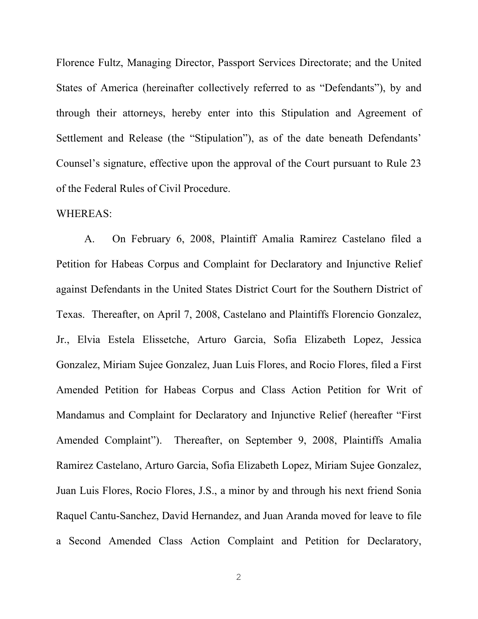Florence Fultz, Managing Director, Passport Services Directorate; and the United States of America (hereinafter collectively referred to as "Defendants"), by and through their attorneys, hereby enter into this Stipulation and Agreement of Settlement and Release (the "Stipulation"), as of the date beneath Defendants' Counsel's signature, effective upon the approval of the Court pursuant to Rule 23 of the Federal Rules of Civil Procedure.

# WHEREAS:

A. On February 6, 2008, Plaintiff Amalia Ramirez Castelano filed a Petition for Habeas Corpus and Complaint for Declaratory and Injunctive Relief against Defendants in the United States District Court for the Southern District of Texas. Thereafter, on April 7, 2008, Castelano and Plaintiffs Florencio Gonzalez, Jr., Elvia Estela Elissetche, Arturo Garcia, Sofia Elizabeth Lopez, Jessica Gonzalez, Miriam Sujee Gonzalez, Juan Luis Flores, and Rocio Flores, filed a First Amended Petition for Habeas Corpus and Class Action Petition for Writ of Mandamus and Complaint for Declaratory and Injunctive Relief (hereafter "First Amended Complaint"). Thereafter, on September 9, 2008, Plaintiffs Amalia Ramirez Castelano, Arturo Garcia, Sofia Elizabeth Lopez, Miriam Sujee Gonzalez, Juan Luis Flores, Rocio Flores, J.S., a minor by and through his next friend Sonia Raquel Cantu-Sanchez, David Hernandez, and Juan Aranda moved for leave to file a Second Amended Class Action Complaint and Petition for Declaratory,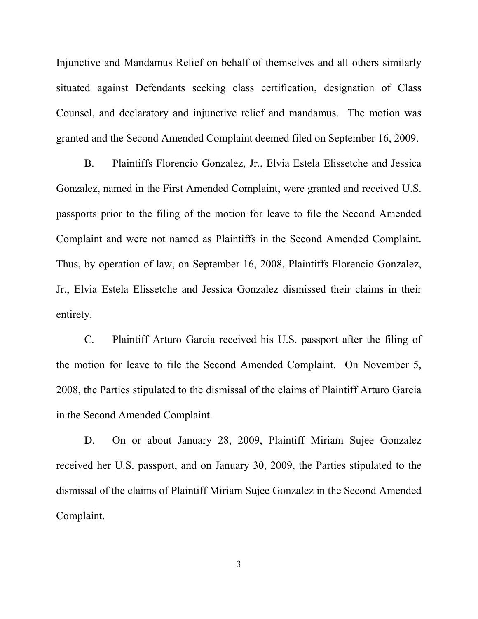Injunctive and Mandamus Relief on behalf of themselves and all others similarly situated against Defendants seeking class certification, designation of Class Counsel, and declaratory and injunctive relief and mandamus. The motion was granted and the Second Amended Complaint deemed filed on September 16, 2009.

B. Plaintiffs Florencio Gonzalez, Jr., Elvia Estela Elissetche and Jessica Gonzalez, named in the First Amended Complaint, were granted and received U.S. passports prior to the filing of the motion for leave to file the Second Amended Complaint and were not named as Plaintiffs in the Second Amended Complaint. Thus, by operation of law, on September 16, 2008, Plaintiffs Florencio Gonzalez, Jr., Elvia Estela Elissetche and Jessica Gonzalez dismissed their claims in their entirety.

C. Plaintiff Arturo Garcia received his U.S. passport after the filing of the motion for leave to file the Second Amended Complaint. On November 5, 2008, the Parties stipulated to the dismissal of the claims of Plaintiff Arturo Garcia in the Second Amended Complaint.

D. On or about January 28, 2009, Plaintiff Miriam Sujee Gonzalez received her U.S. passport, and on January 30, 2009, the Parties stipulated to the dismissal of the claims of Plaintiff Miriam Sujee Gonzalez in the Second Amended Complaint.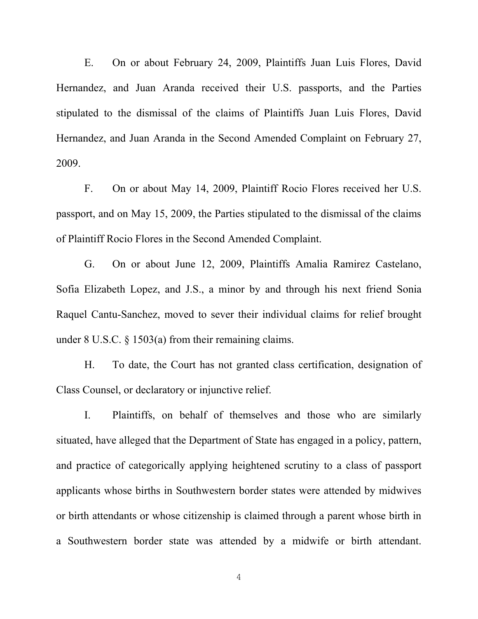E. On or about February 24, 2009, Plaintiffs Juan Luis Flores, David Hernandez, and Juan Aranda received their U.S. passports, and the Parties stipulated to the dismissal of the claims of Plaintiffs Juan Luis Flores, David Hernandez, and Juan Aranda in the Second Amended Complaint on February 27, 2009.

F. On or about May 14, 2009, Plaintiff Rocio Flores received her U.S. passport, and on May 15, 2009, the Parties stipulated to the dismissal of the claims of Plaintiff Rocio Flores in the Second Amended Complaint.

G. On or about June 12, 2009, Plaintiffs Amalia Ramirez Castelano, Sofia Elizabeth Lopez, and J.S., a minor by and through his next friend Sonia Raquel Cantu-Sanchez, moved to sever their individual claims for relief brought under 8 U.S.C. § 1503(a) from their remaining claims.

H. To date, the Court has not granted class certification, designation of Class Counsel, or declaratory or injunctive relief.

I. Plaintiffs, on behalf of themselves and those who are similarly situated, have alleged that the Department of State has engaged in a policy, pattern, and practice of categorically applying heightened scrutiny to a class of passport applicants whose births in Southwestern border states were attended by midwives or birth attendants or whose citizenship is claimed through a parent whose birth in a Southwestern border state was attended by a midwife or birth attendant.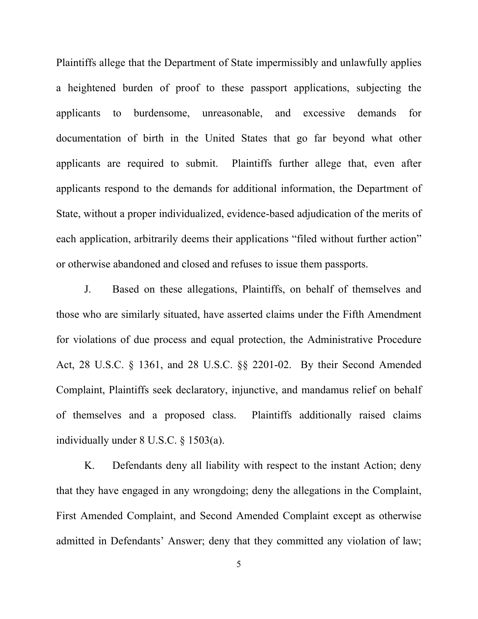Plaintiffs allege that the Department of State impermissibly and unlawfully applies a heightened burden of proof to these passport applications, subjecting the applicants to burdensome, unreasonable, and excessive demands for documentation of birth in the United States that go far beyond what other applicants are required to submit. Plaintiffs further allege that, even after applicants respond to the demands for additional information, the Department of State, without a proper individualized, evidence-based adjudication of the merits of each application, arbitrarily deems their applications "filed without further action" or otherwise abandoned and closed and refuses to issue them passports.

J. Based on these allegations, Plaintiffs, on behalf of themselves and those who are similarly situated, have asserted claims under the Fifth Amendment for violations of due process and equal protection, the Administrative Procedure Act, 28 U.S.C. § 1361, and 28 U.S.C. §§ 2201-02. By their Second Amended Complaint, Plaintiffs seek declaratory, injunctive, and mandamus relief on behalf of themselves and a proposed class. Plaintiffs additionally raised claims individually under 8 U.S.C. § 1503(a).

K. Defendants deny all liability with respect to the instant Action; deny that they have engaged in any wrongdoing; deny the allegations in the Complaint, First Amended Complaint, and Second Amended Complaint except as otherwise admitted in Defendants' Answer; deny that they committed any violation of law;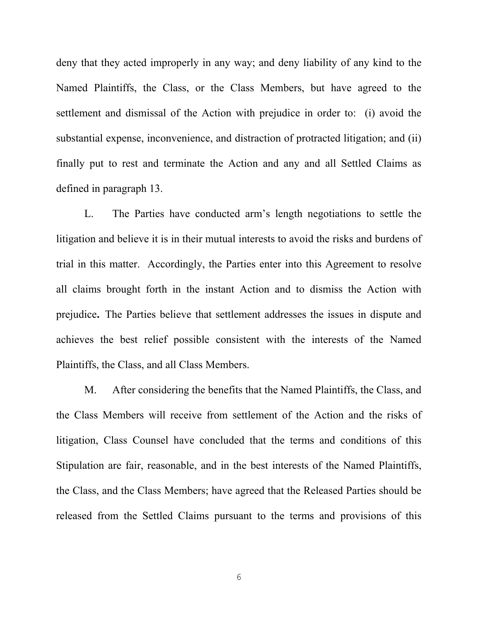deny that they acted improperly in any way; and deny liability of any kind to the Named Plaintiffs, the Class, or the Class Members, but have agreed to the settlement and dismissal of the Action with prejudice in order to: (i) avoid the substantial expense, inconvenience, and distraction of protracted litigation; and (ii) finally put to rest and terminate the Action and any and all Settled Claims as defined in paragraph 13.

L. The Parties have conducted arm's length negotiations to settle the litigation and believe it is in their mutual interests to avoid the risks and burdens of trial in this matter. Accordingly, the Parties enter into this Agreement to resolve all claims brought forth in the instant Action and to dismiss the Action with prejudice**.** The Parties believe that settlement addresses the issues in dispute and achieves the best relief possible consistent with the interests of the Named Plaintiffs, the Class, and all Class Members.

M. After considering the benefits that the Named Plaintiffs, the Class, and the Class Members will receive from settlement of the Action and the risks of litigation, Class Counsel have concluded that the terms and conditions of this Stipulation are fair, reasonable, and in the best interests of the Named Plaintiffs, the Class, and the Class Members; have agreed that the Released Parties should be released from the Settled Claims pursuant to the terms and provisions of this

 $\sim$  6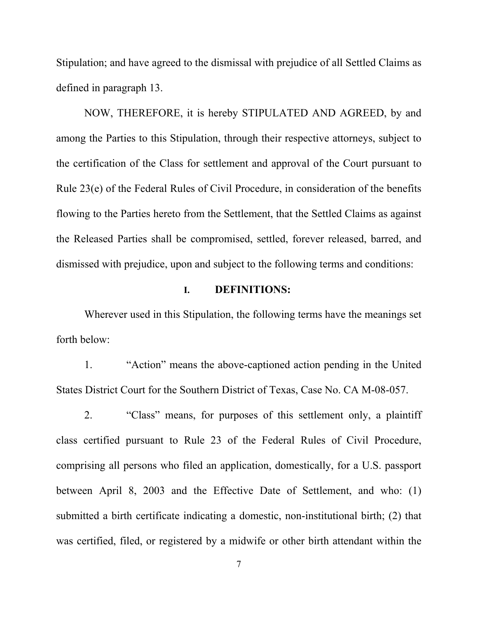Stipulation; and have agreed to the dismissal with prejudice of all Settled Claims as defined in paragraph 13.

NOW, THEREFORE, it is hereby STIPULATED AND AGREED, by and among the Parties to this Stipulation, through their respective attorneys, subject to the certification of the Class for settlement and approval of the Court pursuant to Rule 23(e) of the Federal Rules of Civil Procedure, in consideration of the benefits flowing to the Parties hereto from the Settlement, that the Settled Claims as against the Released Parties shall be compromised, settled, forever released, barred, and dismissed with prejudice, upon and subject to the following terms and conditions:

# **I. DEFINITIONS:**

Wherever used in this Stipulation, the following terms have the meanings set forth below:

1. "Action" means the above-captioned action pending in the United States District Court for the Southern District of Texas, Case No. CA M-08-057.

2. "Class" means, for purposes of this settlement only, a plaintiff class certified pursuant to Rule 23 of the Federal Rules of Civil Procedure, comprising all persons who filed an application, domestically, for a U.S. passport between April 8, 2003 and the Effective Date of Settlement, and who: (1) submitted a birth certificate indicating a domestic, non-institutional birth; (2) that was certified, filed, or registered by a midwife or other birth attendant within the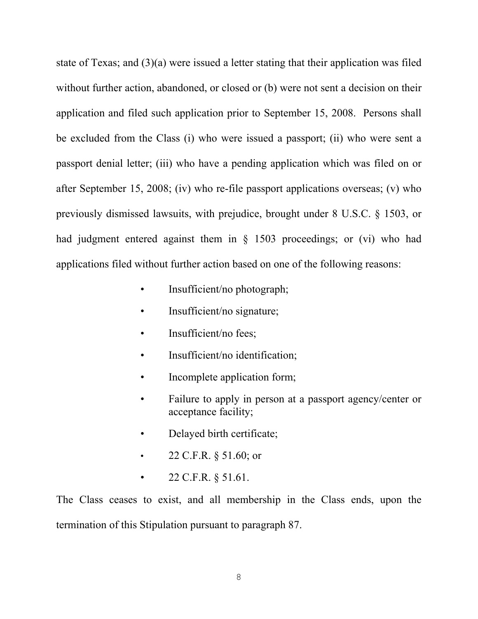state of Texas; and (3)(a) were issued a letter stating that their application was filed without further action, abandoned, or closed or (b) were not sent a decision on their application and filed such application prior to September 15, 2008. Persons shall be excluded from the Class (i) who were issued a passport; (ii) who were sent a passport denial letter; (iii) who have a pending application which was filed on or after September 15, 2008; (iv) who re-file passport applications overseas; (v) who previously dismissed lawsuits, with prejudice, brought under 8 U.S.C. § 1503, or had judgment entered against them in § 1503 proceedings; or (vi) who had applications filed without further action based on one of the following reasons:

- Insufficient/no photograph;
- Insufficient/no signature;
- Insufficient/no fees;
- Insufficient/no identification;
- Incomplete application form;
- Failure to apply in person at a passport agency/center or acceptance facility;
- Delayed birth certificate;
- 22 C.F.R. § 51.60; or
- 22 C.F.R. § 51.61.

The Class ceases to exist, and all membership in the Class ends, upon the termination of this Stipulation pursuant to paragraph 87.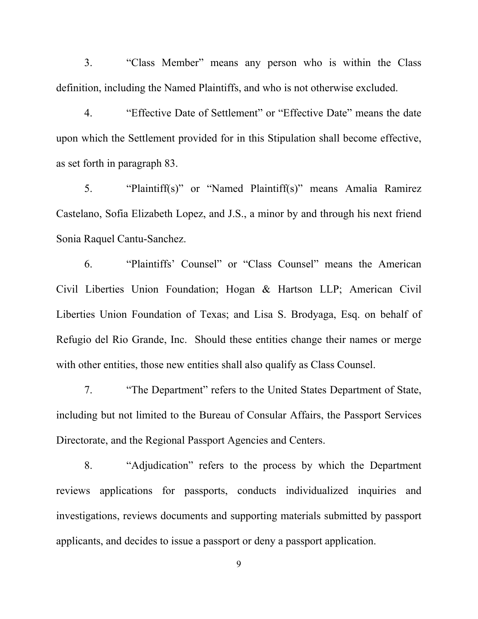3. "Class Member" means any person who is within the Class definition, including the Named Plaintiffs, and who is not otherwise excluded.

4. "Effective Date of Settlement" or "Effective Date" means the date upon which the Settlement provided for in this Stipulation shall become effective, as set forth in paragraph 83.

5. "Plaintiff(s)" or "Named Plaintiff(s)" means Amalia Ramirez Castelano, Sofia Elizabeth Lopez, and J.S., a minor by and through his next friend Sonia Raquel Cantu-Sanchez.

6. "Plaintiffs' Counsel" or "Class Counsel" means the American Civil Liberties Union Foundation; Hogan & Hartson LLP; American Civil Liberties Union Foundation of Texas; and Lisa S. Brodyaga, Esq. on behalf of Refugio del Rio Grande, Inc. Should these entities change their names or merge with other entities, those new entities shall also qualify as Class Counsel.

7. "The Department" refers to the United States Department of State, including but not limited to the Bureau of Consular Affairs, the Passport Services Directorate, and the Regional Passport Agencies and Centers.

8. "Adjudication" refers to the process by which the Department reviews applications for passports, conducts individualized inquiries and investigations, reviews documents and supporting materials submitted by passport applicants, and decides to issue a passport or deny a passport application.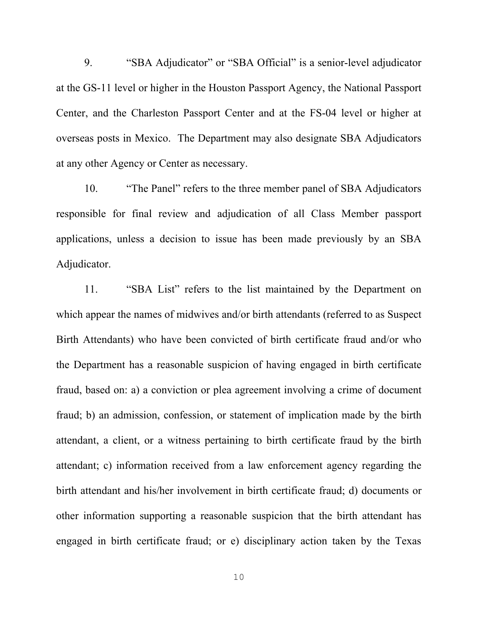9. "SBA Adjudicator" or "SBA Official" is a senior-level adjudicator at the GS-11 level or higher in the Houston Passport Agency, the National Passport Center, and the Charleston Passport Center and at the FS-04 level or higher at overseas posts in Mexico. The Department may also designate SBA Adjudicators at any other Agency or Center as necessary.

10. "The Panel" refers to the three member panel of SBA Adjudicators responsible for final review and adjudication of all Class Member passport applications, unless a decision to issue has been made previously by an SBA Adjudicator.

11. "SBA List" refers to the list maintained by the Department on which appear the names of midwives and/or birth attendants (referred to as Suspect Birth Attendants) who have been convicted of birth certificate fraud and/or who the Department has a reasonable suspicion of having engaged in birth certificate fraud, based on: a) a conviction or plea agreement involving a crime of document fraud; b) an admission, confession, or statement of implication made by the birth attendant, a client, or a witness pertaining to birth certificate fraud by the birth attendant; c) information received from a law enforcement agency regarding the birth attendant and his/her involvement in birth certificate fraud; d) documents or other information supporting a reasonable suspicion that the birth attendant has engaged in birth certificate fraud; or e) disciplinary action taken by the Texas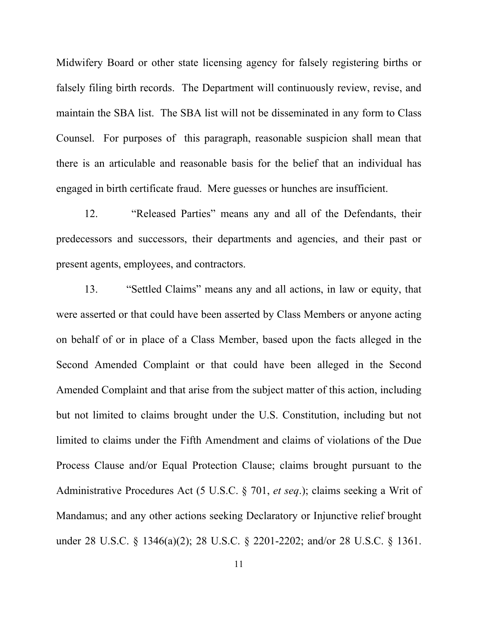Midwifery Board or other state licensing agency for falsely registering births or falsely filing birth records. The Department will continuously review, revise, and maintain the SBA list. The SBA list will not be disseminated in any form to Class Counsel. For purposes of this paragraph, reasonable suspicion shall mean that there is an articulable and reasonable basis for the belief that an individual has engaged in birth certificate fraud. Mere guesses or hunches are insufficient.

12. "Released Parties" means any and all of the Defendants, their predecessors and successors, their departments and agencies, and their past or present agents, employees, and contractors.

13. "Settled Claims" means any and all actions, in law or equity, that were asserted or that could have been asserted by Class Members or anyone acting on behalf of or in place of a Class Member, based upon the facts alleged in the Second Amended Complaint or that could have been alleged in the Second Amended Complaint and that arise from the subject matter of this action, including but not limited to claims brought under the U.S. Constitution, including but not limited to claims under the Fifth Amendment and claims of violations of the Due Process Clause and/or Equal Protection Clause; claims brought pursuant to the Administrative Procedures Act (5 U.S.C. § 701, *et seq*.); claims seeking a Writ of Mandamus; and any other actions seeking Declaratory or Injunctive relief brought under 28 U.S.C. § 1346(a)(2); 28 U.S.C. § 2201-2202; and/or 28 U.S.C. § 1361.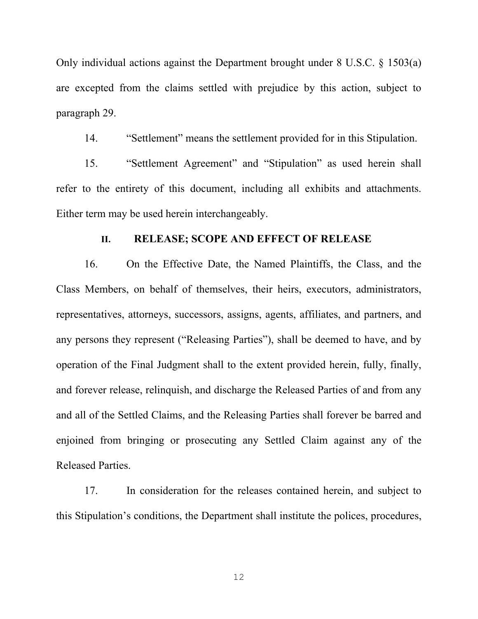Only individual actions against the Department brought under 8 U.S.C. § 1503(a) are excepted from the claims settled with prejudice by this action, subject to paragraph 29.

14. "Settlement" means the settlement provided for in this Stipulation.

15. "Settlement Agreement" and "Stipulation" as used herein shall refer to the entirety of this document, including all exhibits and attachments. Either term may be used herein interchangeably.

# **II. RELEASE; SCOPE AND EFFECT OF RELEASE**

16. On the Effective Date, the Named Plaintiffs, the Class, and the Class Members, on behalf of themselves, their heirs, executors, administrators, representatives, attorneys, successors, assigns, agents, affiliates, and partners, and any persons they represent ("Releasing Parties"), shall be deemed to have, and by operation of the Final Judgment shall to the extent provided herein, fully, finally, and forever release, relinquish, and discharge the Released Parties of and from any and all of the Settled Claims, and the Releasing Parties shall forever be barred and enjoined from bringing or prosecuting any Settled Claim against any of the Released Parties.

17. In consideration for the releases contained herein, and subject to this Stipulation's conditions, the Department shall institute the polices, procedures,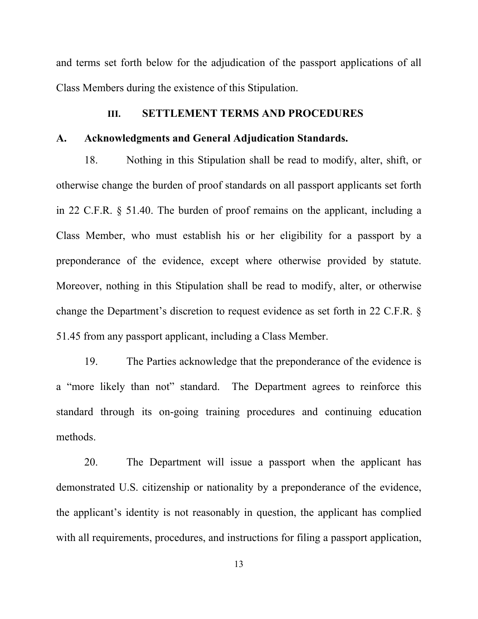and terms set forth below for the adjudication of the passport applications of all Class Members during the existence of this Stipulation.

### **III. SETTLEMENT TERMS AND PROCEDURES**

# **A. Acknowledgments and General Adjudication Standards.**

18. Nothing in this Stipulation shall be read to modify, alter, shift, or otherwise change the burden of proof standards on all passport applicants set forth in 22 C.F.R. § 51.40. The burden of proof remains on the applicant, including a Class Member, who must establish his or her eligibility for a passport by a preponderance of the evidence, except where otherwise provided by statute. Moreover, nothing in this Stipulation shall be read to modify, alter, or otherwise change the Department's discretion to request evidence as set forth in 22 C.F.R. § 51.45 from any passport applicant, including a Class Member.

19. The Parties acknowledge that the preponderance of the evidence is a "more likely than not" standard. The Department agrees to reinforce this standard through its on-going training procedures and continuing education methods.

20. The Department will issue a passport when the applicant has demonstrated U.S. citizenship or nationality by a preponderance of the evidence, the applicant's identity is not reasonably in question, the applicant has complied with all requirements, procedures, and instructions for filing a passport application,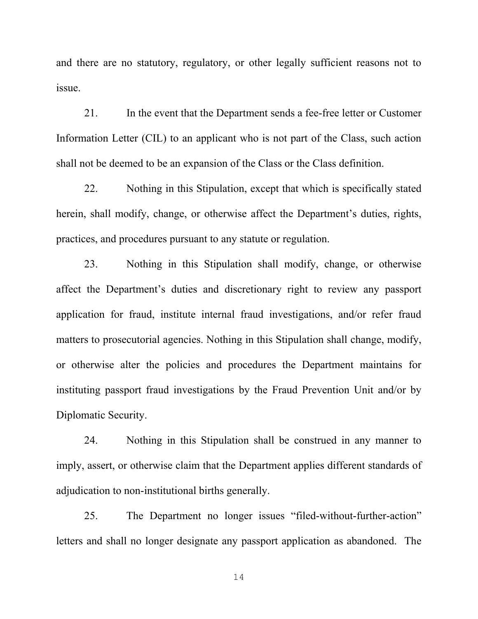and there are no statutory, regulatory, or other legally sufficient reasons not to issue.

21. In the event that the Department sends a fee-free letter or Customer Information Letter (CIL) to an applicant who is not part of the Class, such action shall not be deemed to be an expansion of the Class or the Class definition.

22. Nothing in this Stipulation, except that which is specifically stated herein, shall modify, change, or otherwise affect the Department's duties, rights, practices, and procedures pursuant to any statute or regulation.

23. Nothing in this Stipulation shall modify, change, or otherwise affect the Department's duties and discretionary right to review any passport application for fraud, institute internal fraud investigations, and/or refer fraud matters to prosecutorial agencies. Nothing in this Stipulation shall change, modify, or otherwise alter the policies and procedures the Department maintains for instituting passport fraud investigations by the Fraud Prevention Unit and/or by Diplomatic Security.

24. Nothing in this Stipulation shall be construed in any manner to imply, assert, or otherwise claim that the Department applies different standards of adjudication to non-institutional births generally.

25. The Department no longer issues "filed-without-further-action" letters and shall no longer designate any passport application as abandoned. The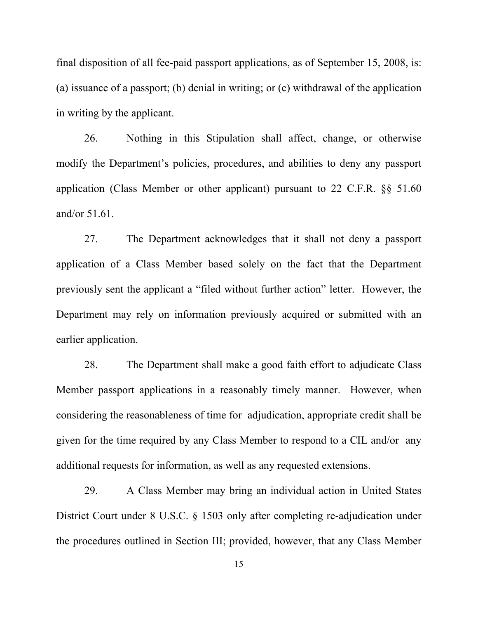final disposition of all fee-paid passport applications, as of September 15, 2008, is: (a) issuance of a passport; (b) denial in writing; or (c) withdrawal of the application in writing by the applicant.

26. Nothing in this Stipulation shall affect, change, or otherwise modify the Department's policies, procedures, and abilities to deny any passport application (Class Member or other applicant) pursuant to 22 C.F.R. §§ 51.60 and/or 51.61.

27. The Department acknowledges that it shall not deny a passport application of a Class Member based solely on the fact that the Department previously sent the applicant a "filed without further action" letter. However, the Department may rely on information previously acquired or submitted with an earlier application.

28. The Department shall make a good faith effort to adjudicate Class Member passport applications in a reasonably timely manner. However, when considering the reasonableness of time for adjudication, appropriate credit shall be given for the time required by any Class Member to respond to a CIL and/or any additional requests for information, as well as any requested extensions.

29. A Class Member may bring an individual action in United States District Court under 8 U.S.C. § 1503 only after completing re-adjudication under the procedures outlined in Section III; provided, however, that any Class Member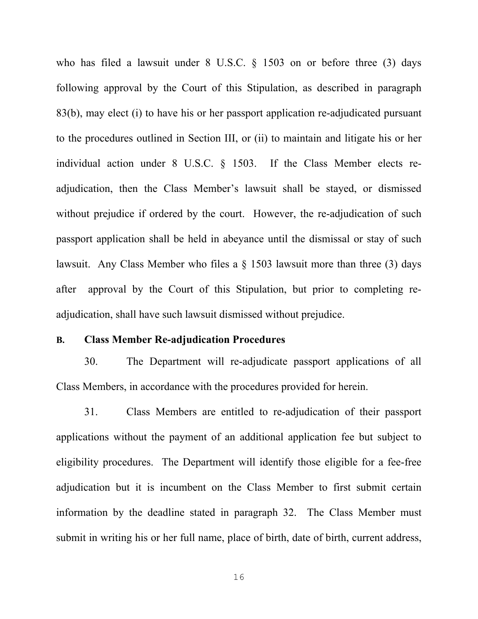who has filed a lawsuit under 8 U.S.C. § 1503 on or before three (3) days following approval by the Court of this Stipulation, as described in paragraph 83(b), may elect (i) to have his or her passport application re-adjudicated pursuant to the procedures outlined in Section III, or (ii) to maintain and litigate his or her individual action under 8 U.S.C. § 1503. If the Class Member elects readjudication, then the Class Member's lawsuit shall be stayed, or dismissed without prejudice if ordered by the court. However, the re-adjudication of such passport application shall be held in abeyance until the dismissal or stay of such lawsuit. Any Class Member who files a § 1503 lawsuit more than three (3) days after approval by the Court of this Stipulation, but prior to completing readjudication, shall have such lawsuit dismissed without prejudice.

# **B. Class Member Re-adjudication Procedures**

30. The Department will re-adjudicate passport applications of all Class Members, in accordance with the procedures provided for herein.

31. Class Members are entitled to re-adjudication of their passport applications without the payment of an additional application fee but subject to eligibility procedures. The Department will identify those eligible for a fee-free adjudication but it is incumbent on the Class Member to first submit certain information by the deadline stated in paragraph 32. The Class Member must submit in writing his or her full name, place of birth, date of birth, current address,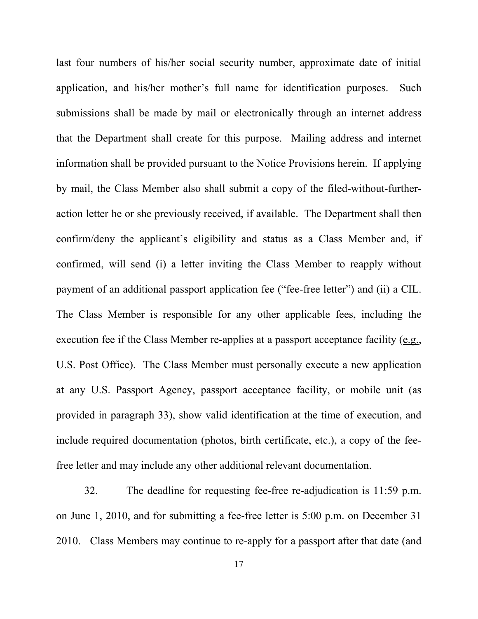last four numbers of his/her social security number, approximate date of initial application, and his/her mother's full name for identification purposes. Such submissions shall be made by mail or electronically through an internet address that the Department shall create for this purpose. Mailing address and internet information shall be provided pursuant to the Notice Provisions herein. If applying by mail, the Class Member also shall submit a copy of the filed-without-furtheraction letter he or she previously received, if available. The Department shall then confirm/deny the applicant's eligibility and status as a Class Member and, if confirmed, will send (i) a letter inviting the Class Member to reapply without payment of an additional passport application fee ("fee-free letter") and (ii) a CIL. The Class Member is responsible for any other applicable fees, including the execution fee if the Class Member re-applies at a passport acceptance facility (e.g., U.S. Post Office). The Class Member must personally execute a new application at any U.S. Passport Agency, passport acceptance facility, or mobile unit (as provided in paragraph 33), show valid identification at the time of execution, and include required documentation (photos, birth certificate, etc.), a copy of the feefree letter and may include any other additional relevant documentation.

32. The deadline for requesting fee-free re-adjudication is 11:59 p.m. on June 1, 2010, and for submitting a fee-free letter is 5:00 p.m. on December 31 2010. Class Members may continue to re-apply for a passport after that date (and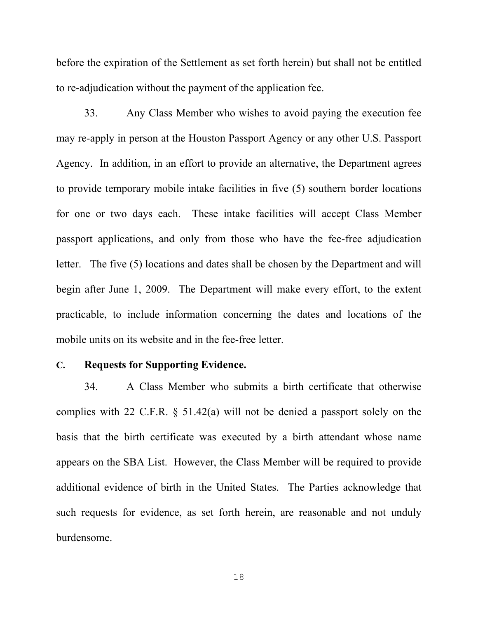before the expiration of the Settlement as set forth herein) but shall not be entitled to re-adjudication without the payment of the application fee.

33. Any Class Member who wishes to avoid paying the execution fee may re-apply in person at the Houston Passport Agency or any other U.S. Passport Agency. In addition, in an effort to provide an alternative, the Department agrees to provide temporary mobile intake facilities in five (5) southern border locations for one or two days each. These intake facilities will accept Class Member passport applications, and only from those who have the fee-free adjudication letter. The five (5) locations and dates shall be chosen by the Department and will begin after June 1, 2009. The Department will make every effort, to the extent practicable, to include information concerning the dates and locations of the mobile units on its website and in the fee-free letter.

### **C. Requests for Supporting Evidence.**

34. A Class Member who submits a birth certificate that otherwise complies with 22 C.F.R. § 51.42(a) will not be denied a passport solely on the basis that the birth certificate was executed by a birth attendant whose name appears on the SBA List. However, the Class Member will be required to provide additional evidence of birth in the United States. The Parties acknowledge that such requests for evidence, as set forth herein, are reasonable and not unduly burdensome.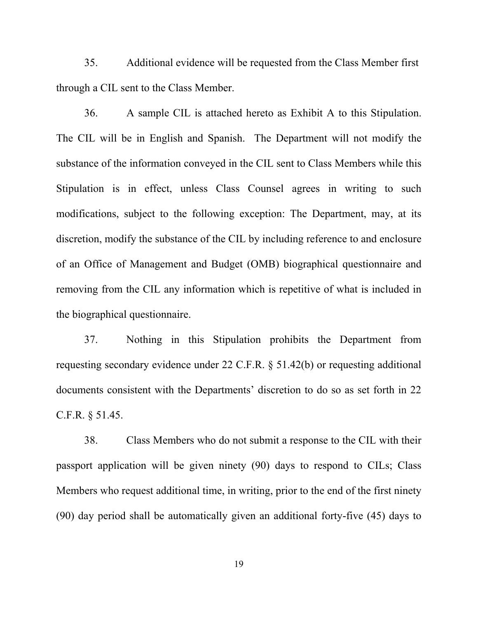35. Additional evidence will be requested from the Class Member first through a CIL sent to the Class Member.

36. A sample CIL is attached hereto as Exhibit A to this Stipulation. The CIL will be in English and Spanish. The Department will not modify the substance of the information conveyed in the CIL sent to Class Members while this Stipulation is in effect, unless Class Counsel agrees in writing to such modifications, subject to the following exception: The Department, may, at its discretion, modify the substance of the CIL by including reference to and enclosure of an Office of Management and Budget (OMB) biographical questionnaire and removing from the CIL any information which is repetitive of what is included in the biographical questionnaire.

37. Nothing in this Stipulation prohibits the Department from requesting secondary evidence under 22 C.F.R. § 51.42(b) or requesting additional documents consistent with the Departments' discretion to do so as set forth in 22 C.F.R. § 51.45.

38. Class Members who do not submit a response to the CIL with their passport application will be given ninety (90) days to respond to CILs; Class Members who request additional time, in writing, prior to the end of the first ninety (90) day period shall be automatically given an additional forty-five (45) days to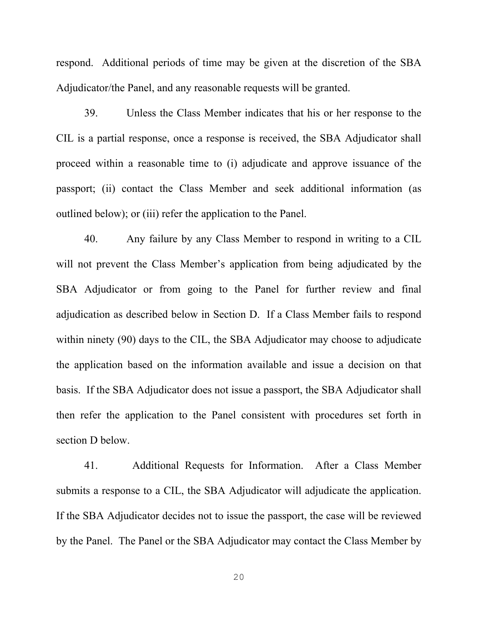respond. Additional periods of time may be given at the discretion of the SBA Adjudicator/the Panel, and any reasonable requests will be granted.

39. Unless the Class Member indicates that his or her response to the CIL is a partial response, once a response is received, the SBA Adjudicator shall proceed within a reasonable time to (i) adjudicate and approve issuance of the passport; (ii) contact the Class Member and seek additional information (as outlined below); or (iii) refer the application to the Panel.

40. Any failure by any Class Member to respond in writing to a CIL will not prevent the Class Member's application from being adjudicated by the SBA Adjudicator or from going to the Panel for further review and final adjudication as described below in Section D. If a Class Member fails to respond within ninety (90) days to the CIL, the SBA Adjudicator may choose to adjudicate the application based on the information available and issue a decision on that basis. If the SBA Adjudicator does not issue a passport, the SBA Adjudicator shall then refer the application to the Panel consistent with procedures set forth in section D below.

41. Additional Requests for Information. After a Class Member submits a response to a CIL, the SBA Adjudicator will adjudicate the application. If the SBA Adjudicator decides not to issue the passport, the case will be reviewed by the Panel. The Panel or the SBA Adjudicator may contact the Class Member by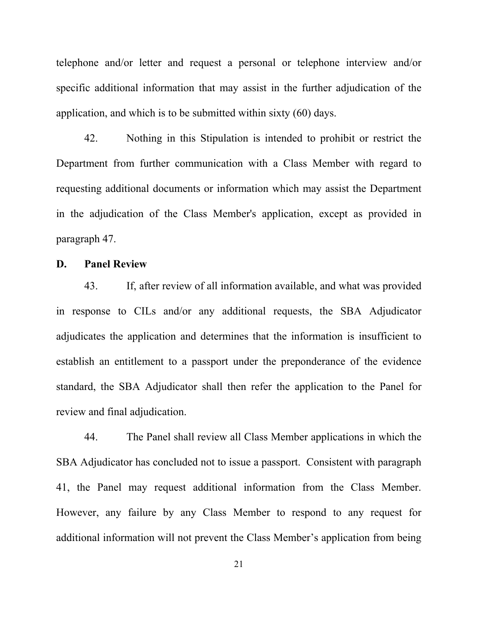telephone and/or letter and request a personal or telephone interview and/or specific additional information that may assist in the further adjudication of the application, and which is to be submitted within sixty (60) days.

42. Nothing in this Stipulation is intended to prohibit or restrict the Department from further communication with a Class Member with regard to requesting additional documents or information which may assist the Department in the adjudication of the Class Member's application, except as provided in paragraph 47.

# **D. Panel Review**

43. If, after review of all information available, and what was provided in response to CILs and/or any additional requests, the SBA Adjudicator adjudicates the application and determines that the information is insufficient to establish an entitlement to a passport under the preponderance of the evidence standard, the SBA Adjudicator shall then refer the application to the Panel for review and final adjudication.

44. The Panel shall review all Class Member applications in which the SBA Adjudicator has concluded not to issue a passport. Consistent with paragraph 41, the Panel may request additional information from the Class Member. However, any failure by any Class Member to respond to any request for additional information will not prevent the Class Member's application from being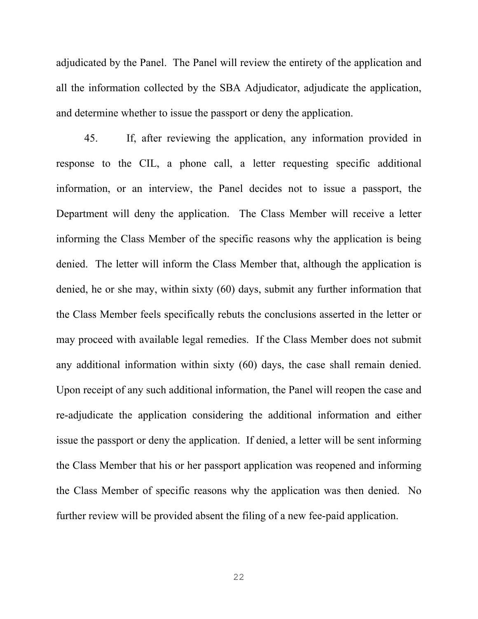adjudicated by the Panel. The Panel will review the entirety of the application and all the information collected by the SBA Adjudicator, adjudicate the application, and determine whether to issue the passport or deny the application.

45. If, after reviewing the application, any information provided in response to the CIL, a phone call, a letter requesting specific additional information, or an interview, the Panel decides not to issue a passport, the Department will deny the application. The Class Member will receive a letter informing the Class Member of the specific reasons why the application is being denied. The letter will inform the Class Member that, although the application is denied, he or she may, within sixty (60) days, submit any further information that the Class Member feels specifically rebuts the conclusions asserted in the letter or may proceed with available legal remedies. If the Class Member does not submit any additional information within sixty (60) days, the case shall remain denied. Upon receipt of any such additional information, the Panel will reopen the case and re-adjudicate the application considering the additional information and either issue the passport or deny the application. If denied, a letter will be sent informing the Class Member that his or her passport application was reopened and informing the Class Member of specific reasons why the application was then denied. No further review will be provided absent the filing of a new fee-paid application.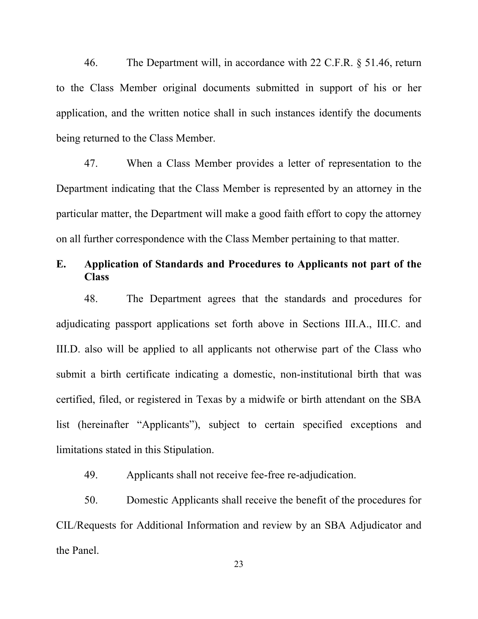46. The Department will, in accordance with 22 C.F.R. § 51.46, return to the Class Member original documents submitted in support of his or her application, and the written notice shall in such instances identify the documents being returned to the Class Member.

47. When a Class Member provides a letter of representation to the Department indicating that the Class Member is represented by an attorney in the particular matter, the Department will make a good faith effort to copy the attorney on all further correspondence with the Class Member pertaining to that matter.

# **E. Application of Standards and Procedures to Applicants not part of the Class**

48. The Department agrees that the standards and procedures for adjudicating passport applications set forth above in Sections III.A., III.C. and III.D. also will be applied to all applicants not otherwise part of the Class who submit a birth certificate indicating a domestic, non-institutional birth that was certified, filed, or registered in Texas by a midwife or birth attendant on the SBA list (hereinafter "Applicants"), subject to certain specified exceptions and limitations stated in this Stipulation.

49. Applicants shall not receive fee-free re-adjudication.

50. Domestic Applicants shall receive the benefit of the procedures for CIL/Requests for Additional Information and review by an SBA Adjudicator and the Panel.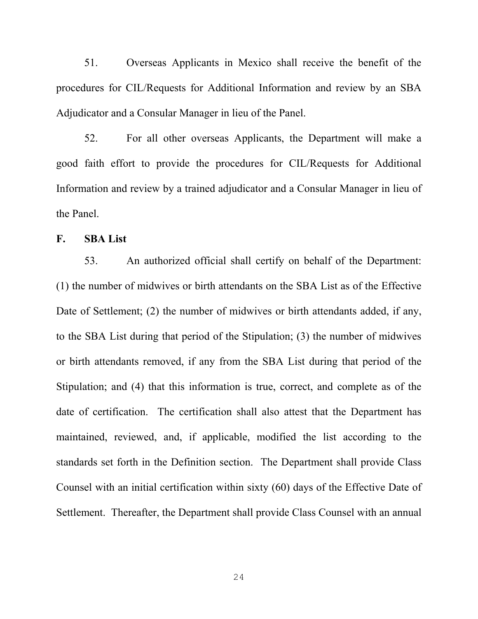51. Overseas Applicants in Mexico shall receive the benefit of the procedures for CIL/Requests for Additional Information and review by an SBA Adjudicator and a Consular Manager in lieu of the Panel.

52. For all other overseas Applicants, the Department will make a good faith effort to provide the procedures for CIL/Requests for Additional Information and review by a trained adjudicator and a Consular Manager in lieu of the Panel.

# **F. SBA List**

53. An authorized official shall certify on behalf of the Department: (1) the number of midwives or birth attendants on the SBA List as of the Effective Date of Settlement; (2) the number of midwives or birth attendants added, if any, to the SBA List during that period of the Stipulation; (3) the number of midwives or birth attendants removed, if any from the SBA List during that period of the Stipulation; and (4) that this information is true, correct, and complete as of the date of certification. The certification shall also attest that the Department has maintained, reviewed, and, if applicable, modified the list according to the standards set forth in the Definition section. The Department shall provide Class Counsel with an initial certification within sixty (60) days of the Effective Date of Settlement. Thereafter, the Department shall provide Class Counsel with an annual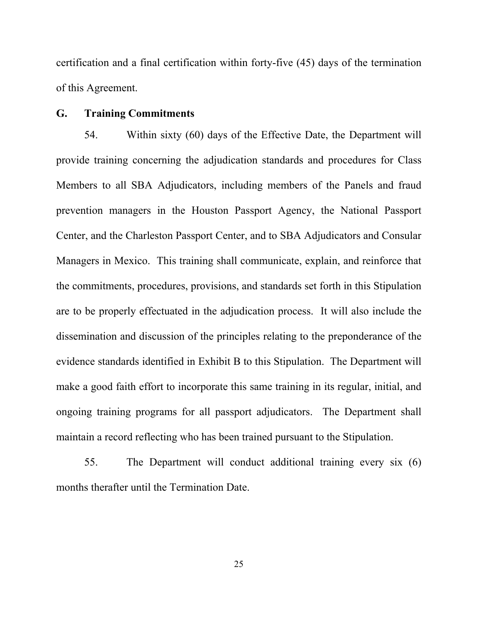certification and a final certification within forty-five (45) days of the termination of this Agreement.

# **G. Training Commitments**

54. Within sixty (60) days of the Effective Date, the Department will provide training concerning the adjudication standards and procedures for Class Members to all SBA Adjudicators, including members of the Panels and fraud prevention managers in the Houston Passport Agency, the National Passport Center, and the Charleston Passport Center, and to SBA Adjudicators and Consular Managers in Mexico. This training shall communicate, explain, and reinforce that the commitments, procedures, provisions, and standards set forth in this Stipulation are to be properly effectuated in the adjudication process. It will also include the dissemination and discussion of the principles relating to the preponderance of the evidence standards identified in Exhibit B to this Stipulation. The Department will make a good faith effort to incorporate this same training in its regular, initial, and ongoing training programs for all passport adjudicators. The Department shall maintain a record reflecting who has been trained pursuant to the Stipulation.

55. The Department will conduct additional training every six (6) months therafter until the Termination Date.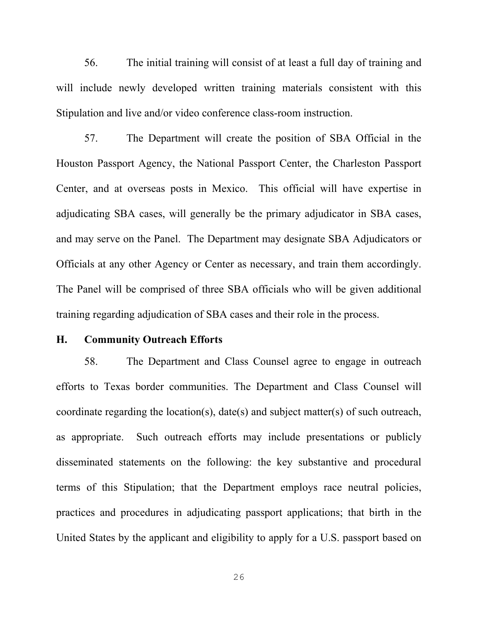56. The initial training will consist of at least a full day of training and will include newly developed written training materials consistent with this Stipulation and live and/or video conference class-room instruction.

57. The Department will create the position of SBA Official in the Houston Passport Agency, the National Passport Center, the Charleston Passport Center, and at overseas posts in Mexico. This official will have expertise in adjudicating SBA cases, will generally be the primary adjudicator in SBA cases, and may serve on the Panel. The Department may designate SBA Adjudicators or Officials at any other Agency or Center as necessary, and train them accordingly. The Panel will be comprised of three SBA officials who will be given additional training regarding adjudication of SBA cases and their role in the process.

#### **H. Community Outreach Efforts**

58. The Department and Class Counsel agree to engage in outreach efforts to Texas border communities. The Department and Class Counsel will coordinate regarding the location(s), date(s) and subject matter(s) of such outreach, as appropriate. Such outreach efforts may include presentations or publicly disseminated statements on the following: the key substantive and procedural terms of this Stipulation; that the Department employs race neutral policies, practices and procedures in adjudicating passport applications; that birth in the United States by the applicant and eligibility to apply for a U.S. passport based on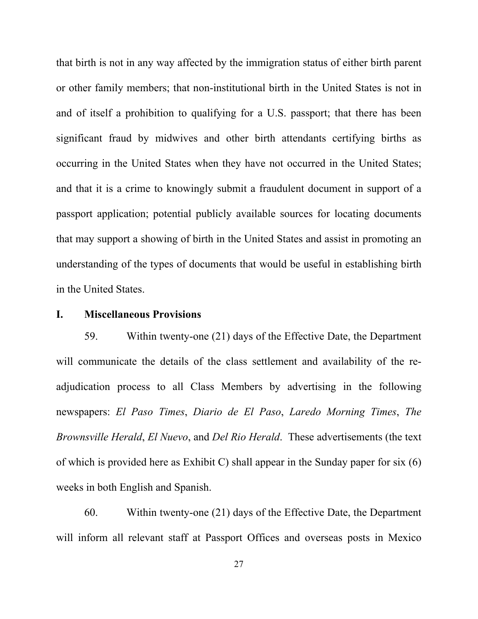that birth is not in any way affected by the immigration status of either birth parent or other family members; that non-institutional birth in the United States is not in and of itself a prohibition to qualifying for a U.S. passport; that there has been significant fraud by midwives and other birth attendants certifying births as occurring in the United States when they have not occurred in the United States; and that it is a crime to knowingly submit a fraudulent document in support of a passport application; potential publicly available sources for locating documents that may support a showing of birth in the United States and assist in promoting an understanding of the types of documents that would be useful in establishing birth in the United States.

### **I. Miscellaneous Provisions**

59. Within twenty-one (21) days of the Effective Date, the Department will communicate the details of the class settlement and availability of the readjudication process to all Class Members by advertising in the following newspapers: *El Paso Times*, *Diario de El Paso*, *Laredo Morning Times*, *The Brownsville Herald*, *El Nuevo*, and *Del Rio Herald*. These advertisements (the text of which is provided here as Exhibit C) shall appear in the Sunday paper for six (6) weeks in both English and Spanish.

60. Within twenty-one (21) days of the Effective Date, the Department will inform all relevant staff at Passport Offices and overseas posts in Mexico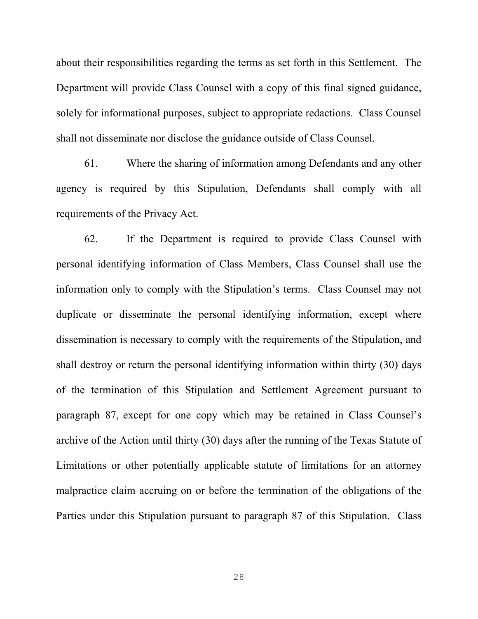about their responsibilities regarding the terms as set forth in this Settlement. The Department will provide Class Counsel with a copy of this final signed guidance, solely for informational purposes, subject to appropriate redactions. Class Counsel shall not disseminate nor disclose the guidance outside of Class Counsel.

61. Where the sharing of information among Defendants and any other agency is required by this Stipulation, Defendants shall comply with all requirements of the Privacy Act.

62. If the Department is required to provide Class Counsel with personal identifying information of Class Members, Class Counsel shall use the information only to comply with the Stipulation's terms. Class Counsel may not duplicate or disseminate the personal identifying information, except where dissemination is necessary to comply with the requirements of the Stipulation, and shall destroy or return the personal identifying information within thirty (30) days of the termination of this Stipulation and Settlement Agreement pursuant to paragraph 87, except for one copy which may be retained in Class Counsel's archive of the Action until thirty (30) days after the running of the Texas Statute of Limitations or other potentially applicable statute of limitations for an attorney malpractice claim accruing on or before the termination of the obligations of the Parties under this Stipulation pursuant to paragraph 87 of this Stipulation. Class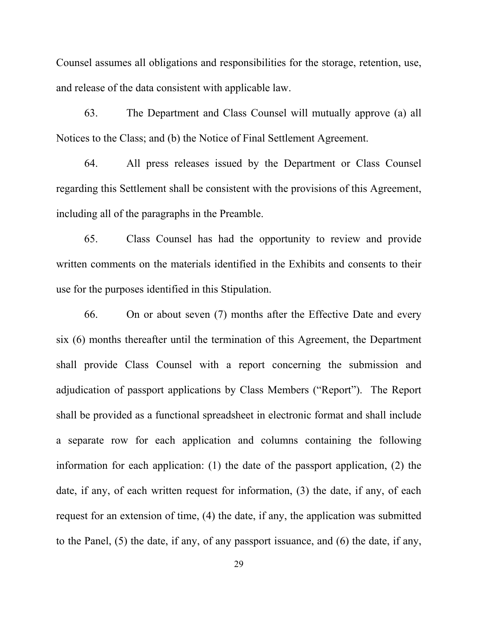Counsel assumes all obligations and responsibilities for the storage, retention, use, and release of the data consistent with applicable law.

63. The Department and Class Counsel will mutually approve (a) all Notices to the Class; and (b) the Notice of Final Settlement Agreement.

64. All press releases issued by the Department or Class Counsel regarding this Settlement shall be consistent with the provisions of this Agreement, including all of the paragraphs in the Preamble.

65. Class Counsel has had the opportunity to review and provide written comments on the materials identified in the Exhibits and consents to their use for the purposes identified in this Stipulation.

66. On or about seven (7) months after the Effective Date and every six (6) months thereafter until the termination of this Agreement, the Department shall provide Class Counsel with a report concerning the submission and adjudication of passport applications by Class Members ("Report"). The Report shall be provided as a functional spreadsheet in electronic format and shall include a separate row for each application and columns containing the following information for each application: (1) the date of the passport application, (2) the date, if any, of each written request for information, (3) the date, if any, of each request for an extension of time, (4) the date, if any, the application was submitted to the Panel, (5) the date, if any, of any passport issuance, and (6) the date, if any,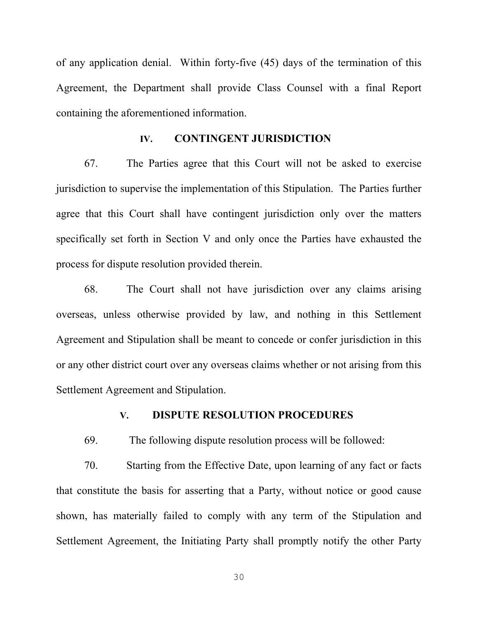of any application denial. Within forty-five (45) days of the termination of this Agreement, the Department shall provide Class Counsel with a final Report containing the aforementioned information.

### **IV. CONTINGENT JURISDICTION**

67. The Parties agree that this Court will not be asked to exercise jurisdiction to supervise the implementation of this Stipulation. The Parties further agree that this Court shall have contingent jurisdiction only over the matters specifically set forth in Section V and only once the Parties have exhausted the process for dispute resolution provided therein.

68. The Court shall not have jurisdiction over any claims arising overseas, unless otherwise provided by law, and nothing in this Settlement Agreement and Stipulation shall be meant to concede or confer jurisdiction in this or any other district court over any overseas claims whether or not arising from this Settlement Agreement and Stipulation.

# **V. DISPUTE RESOLUTION PROCEDURES**

69. The following dispute resolution process will be followed:

70. Starting from the Effective Date, upon learning of any fact or facts that constitute the basis for asserting that a Party, without notice or good cause shown, has materially failed to comply with any term of the Stipulation and Settlement Agreement, the Initiating Party shall promptly notify the other Party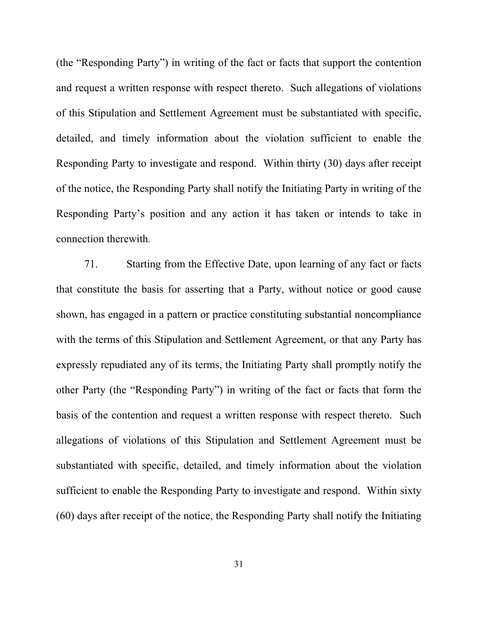(the "Responding Party") in writing of the fact or facts that support the contention and request a written response with respect thereto. Such allegations of violations of this Stipulation and Settlement Agreement must be substantiated with specific, detailed, and timely information about the violation sufficient to enable the Responding Party to investigate and respond. Within thirty (30) days after receipt of the notice, the Responding Party shall notify the Initiating Party in writing of the Responding Party's position and any action it has taken or intends to take in connection therewith.

71. Starting from the Effective Date, upon learning of any fact or facts that constitute the basis for asserting that a Party, without notice or good cause shown, has engaged in a pattern or practice constituting substantial noncompliance with the terms of this Stipulation and Settlement Agreement, or that any Party has expressly repudiated any of its terms, the Initiating Party shall promptly notify the other Party (the "Responding Party") in writing of the fact or facts that form the basis of the contention and request a written response with respect thereto. Such allegations of violations of this Stipulation and Settlement Agreement must be substantiated with specific, detailed, and timely information about the violation sufficient to enable the Responding Party to investigate and respond. Within sixty (60) days after receipt of the notice, the Responding Party shall notify the Initiating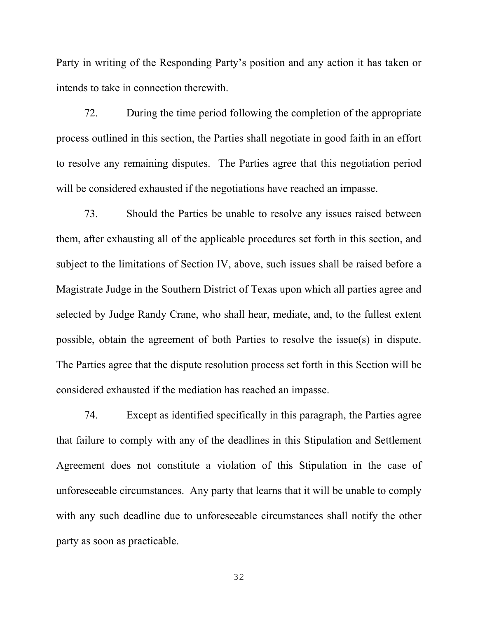Party in writing of the Responding Party's position and any action it has taken or intends to take in connection therewith.

72. During the time period following the completion of the appropriate process outlined in this section, the Parties shall negotiate in good faith in an effort to resolve any remaining disputes. The Parties agree that this negotiation period will be considered exhausted if the negotiations have reached an impasse.

73. Should the Parties be unable to resolve any issues raised between them, after exhausting all of the applicable procedures set forth in this section, and subject to the limitations of Section IV, above, such issues shall be raised before a Magistrate Judge in the Southern District of Texas upon which all parties agree and selected by Judge Randy Crane, who shall hear, mediate, and, to the fullest extent possible, obtain the agreement of both Parties to resolve the issue(s) in dispute. The Parties agree that the dispute resolution process set forth in this Section will be considered exhausted if the mediation has reached an impasse.

74. Except as identified specifically in this paragraph, the Parties agree that failure to comply with any of the deadlines in this Stipulation and Settlement Agreement does not constitute a violation of this Stipulation in the case of unforeseeable circumstances. Any party that learns that it will be unable to comply with any such deadline due to unforeseeable circumstances shall notify the other party as soon as practicable.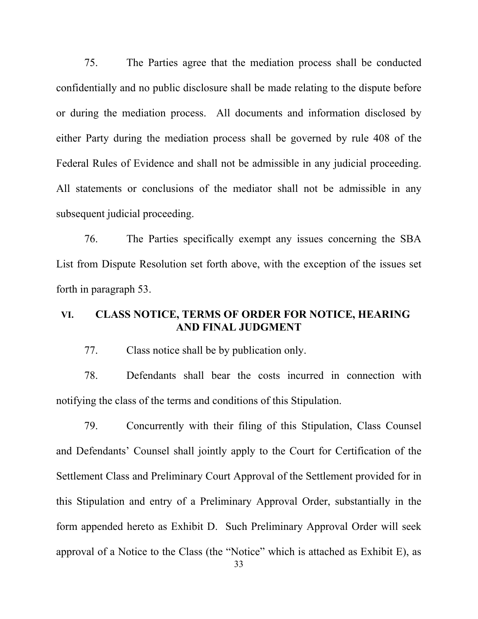75. The Parties agree that the mediation process shall be conducted confidentially and no public disclosure shall be made relating to the dispute before or during the mediation process. All documents and information disclosed by either Party during the mediation process shall be governed by rule 408 of the Federal Rules of Evidence and shall not be admissible in any judicial proceeding. All statements or conclusions of the mediator shall not be admissible in any subsequent judicial proceeding.

76. The Parties specifically exempt any issues concerning the SBA List from Dispute Resolution set forth above, with the exception of the issues set forth in paragraph 53.

# **VI. CLASS NOTICE, TERMS OF ORDER FOR NOTICE, HEARING AND FINAL JUDGMENT**

77. Class notice shall be by publication only.

78. Defendants shall bear the costs incurred in connection with notifying the class of the terms and conditions of this Stipulation.

79. Concurrently with their filing of this Stipulation, Class Counsel and Defendants' Counsel shall jointly apply to the Court for Certification of the Settlement Class and Preliminary Court Approval of the Settlement provided for in this Stipulation and entry of a Preliminary Approval Order, substantially in the form appended hereto as Exhibit D. Such Preliminary Approval Order will seek approval of a Notice to the Class (the "Notice" which is attached as Exhibit E), as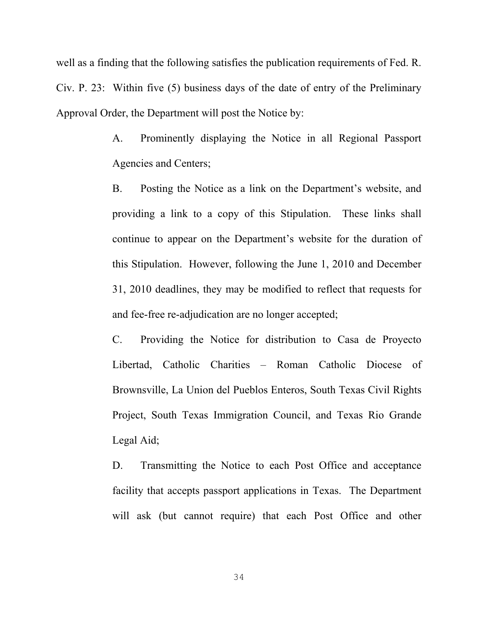well as a finding that the following satisfies the publication requirements of Fed. R. Civ. P. 23: Within five (5) business days of the date of entry of the Preliminary Approval Order, the Department will post the Notice by:

> A. Prominently displaying the Notice in all Regional Passport Agencies and Centers;

> B. Posting the Notice as a link on the Department's website, and providing a link to a copy of this Stipulation. These links shall continue to appear on the Department's website for the duration of this Stipulation. However, following the June 1, 2010 and December 31, 2010 deadlines, they may be modified to reflect that requests for and fee-free re-adjudication are no longer accepted;

> C. Providing the Notice for distribution to Casa de Proyecto Libertad, Catholic Charities – Roman Catholic Diocese of Brownsville, La Union del Pueblos Enteros, South Texas Civil Rights Project, South Texas Immigration Council, and Texas Rio Grande Legal Aid;

> D. Transmitting the Notice to each Post Office and acceptance facility that accepts passport applications in Texas. The Department will ask (but cannot require) that each Post Office and other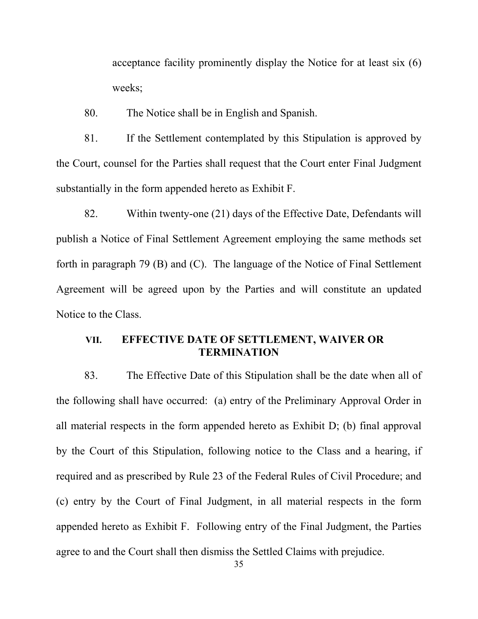acceptance facility prominently display the Notice for at least six (6) weeks;

80. The Notice shall be in English and Spanish.

81. If the Settlement contemplated by this Stipulation is approved by the Court, counsel for the Parties shall request that the Court enter Final Judgment substantially in the form appended hereto as Exhibit F.

82. Within twenty-one (21) days of the Effective Date, Defendants will publish a Notice of Final Settlement Agreement employing the same methods set forth in paragraph 79 (B) and (C). The language of the Notice of Final Settlement Agreement will be agreed upon by the Parties and will constitute an updated Notice to the Class.

# **VII. EFFECTIVE DATE OF SETTLEMENT, WAIVER OR TERMINATION**

83. The Effective Date of this Stipulation shall be the date when all of the following shall have occurred: (a) entry of the Preliminary Approval Order in all material respects in the form appended hereto as Exhibit D; (b) final approval by the Court of this Stipulation, following notice to the Class and a hearing, if required and as prescribed by Rule 23 of the Federal Rules of Civil Procedure; and (c) entry by the Court of Final Judgment, in all material respects in the form appended hereto as Exhibit F. Following entry of the Final Judgment, the Parties agree to and the Court shall then dismiss the Settled Claims with prejudice.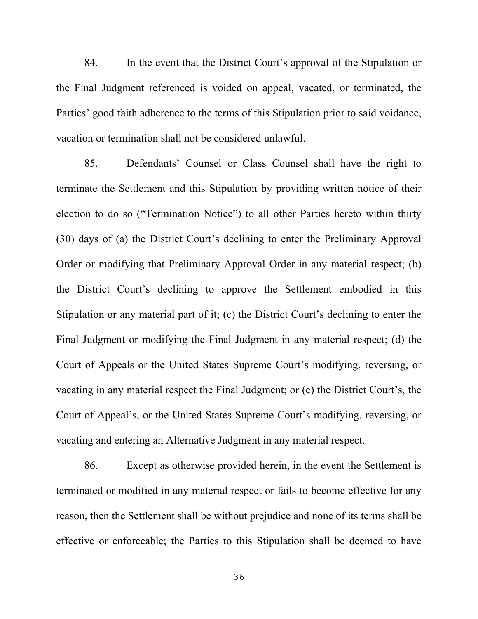84. In the event that the District Court's approval of the Stipulation or the Final Judgment referenced is voided on appeal, vacated, or terminated, the Parties' good faith adherence to the terms of this Stipulation prior to said voidance, vacation or termination shall not be considered unlawful.

85. Defendants' Counsel or Class Counsel shall have the right to terminate the Settlement and this Stipulation by providing written notice of their election to do so ("Termination Notice") to all other Parties hereto within thirty (30) days of (a) the District Court's declining to enter the Preliminary Approval Order or modifying that Preliminary Approval Order in any material respect; (b) the District Court's declining to approve the Settlement embodied in this Stipulation or any material part of it; (c) the District Court's declining to enter the Final Judgment or modifying the Final Judgment in any material respect; (d) the Court of Appeals or the United States Supreme Court's modifying, reversing, or vacating in any material respect the Final Judgment; or (e) the District Court's, the Court of Appeal's, or the United States Supreme Court's modifying, reversing, or vacating and entering an Alternative Judgment in any material respect.

86. Except as otherwise provided herein, in the event the Settlement is terminated or modified in any material respect or fails to become effective for any reason, then the Settlement shall be without prejudice and none of its terms shall be effective or enforceable; the Parties to this Stipulation shall be deemed to have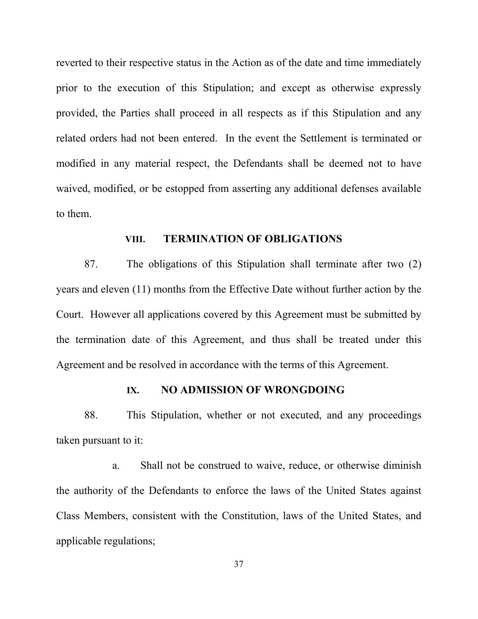reverted to their respective status in the Action as of the date and time immediately prior to the execution of this Stipulation; and except as otherwise expressly provided, the Parties shall proceed in all respects as if this Stipulation and any related orders had not been entered. In the event the Settlement is terminated or modified in any material respect, the Defendants shall be deemed not to have waived, modified, or be estopped from asserting any additional defenses available to them.

# **VIII. TERMINATION OF OBLIGATIONS**

87. The obligations of this Stipulation shall terminate after two (2) years and eleven (11) months from the Effective Date without further action by the Court. However all applications covered by this Agreement must be submitted by the termination date of this Agreement, and thus shall be treated under this Agreement and be resolved in accordance with the terms of this Agreement.

### **IX. NO ADMISSION OF WRONGDOING**

88. This Stipulation, whether or not executed, and any proceedings taken pursuant to it:

a. Shall not be construed to waive, reduce, or otherwise diminish the authority of the Defendants to enforce the laws of the United States against Class Members, consistent with the Constitution, laws of the United States, and applicable regulations;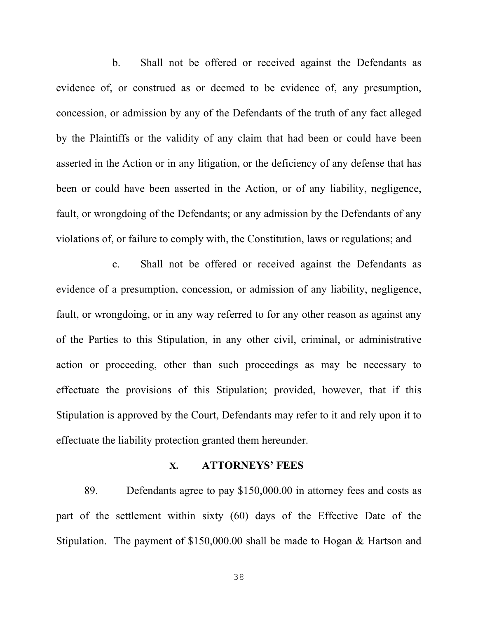b. Shall not be offered or received against the Defendants as evidence of, or construed as or deemed to be evidence of, any presumption, concession, or admission by any of the Defendants of the truth of any fact alleged by the Plaintiffs or the validity of any claim that had been or could have been asserted in the Action or in any litigation, or the deficiency of any defense that has been or could have been asserted in the Action, or of any liability, negligence, fault, or wrongdoing of the Defendants; or any admission by the Defendants of any violations of, or failure to comply with, the Constitution, laws or regulations; and

c. Shall not be offered or received against the Defendants as evidence of a presumption, concession, or admission of any liability, negligence, fault, or wrongdoing, or in any way referred to for any other reason as against any of the Parties to this Stipulation, in any other civil, criminal, or administrative action or proceeding, other than such proceedings as may be necessary to effectuate the provisions of this Stipulation; provided, however, that if this Stipulation is approved by the Court, Defendants may refer to it and rely upon it to effectuate the liability protection granted them hereunder.

# **X. ATTORNEYS' FEES**

89. Defendants agree to pay \$150,000.00 in attorney fees and costs as part of the settlement within sixty (60) days of the Effective Date of the Stipulation. The payment of \$150,000.00 shall be made to Hogan & Hartson and

38 and the contract of the contract of the contract of the contract of the contract of the contract of the con<br>Seconds and the contract of the contract of the contract of the contract of the contract of the contract of th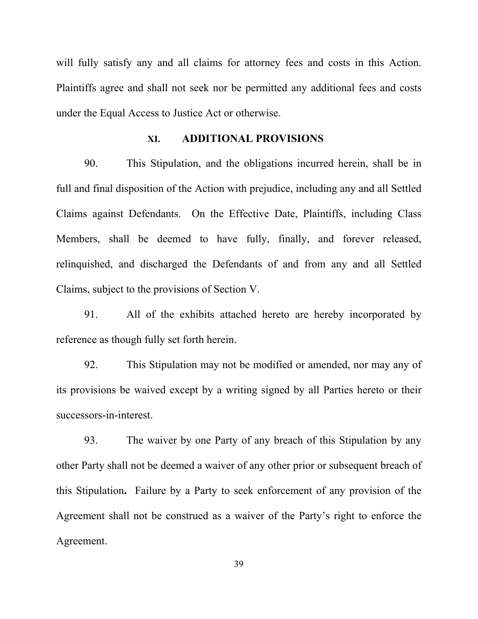will fully satisfy any and all claims for attorney fees and costs in this Action. Plaintiffs agree and shall not seek nor be permitted any additional fees and costs under the Equal Access to Justice Act or otherwise.

#### **XI. ADDITIONAL PROVISIONS**

90. This Stipulation, and the obligations incurred herein, shall be in full and final disposition of the Action with prejudice, including any and all Settled Claims against Defendants. On the Effective Date, Plaintiffs, including Class Members, shall be deemed to have fully, finally, and forever released, relinquished, and discharged the Defendants of and from any and all Settled Claims, subject to the provisions of Section V.

91. All of the exhibits attached hereto are hereby incorporated by reference as though fully set forth herein.

92. This Stipulation may not be modified or amended, nor may any of its provisions be waived except by a writing signed by all Parties hereto or their successors-in-interest.

93. The waiver by one Party of any breach of this Stipulation by any other Party shall not be deemed a waiver of any other prior or subsequent breach of this Stipulation**.** Failure by a Party to seek enforcement of any provision of the Agreement shall not be construed as a waiver of the Party's right to enforce the Agreement.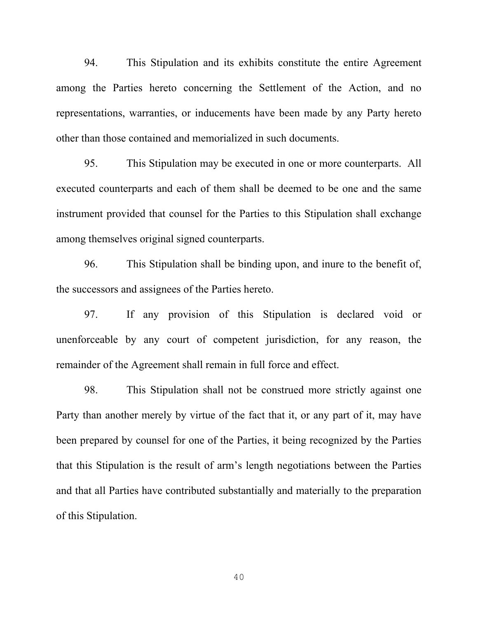94. This Stipulation and its exhibits constitute the entire Agreement among the Parties hereto concerning the Settlement of the Action, and no representations, warranties, or inducements have been made by any Party hereto other than those contained and memorialized in such documents.

95. This Stipulation may be executed in one or more counterparts. All executed counterparts and each of them shall be deemed to be one and the same instrument provided that counsel for the Parties to this Stipulation shall exchange among themselves original signed counterparts.

96. This Stipulation shall be binding upon, and inure to the benefit of, the successors and assignees of the Parties hereto.

97. If any provision of this Stipulation is declared void or unenforceable by any court of competent jurisdiction, for any reason, the remainder of the Agreement shall remain in full force and effect.

98. This Stipulation shall not be construed more strictly against one Party than another merely by virtue of the fact that it, or any part of it, may have been prepared by counsel for one of the Parties, it being recognized by the Parties that this Stipulation is the result of arm's length negotiations between the Parties and that all Parties have contributed substantially and materially to the preparation of this Stipulation.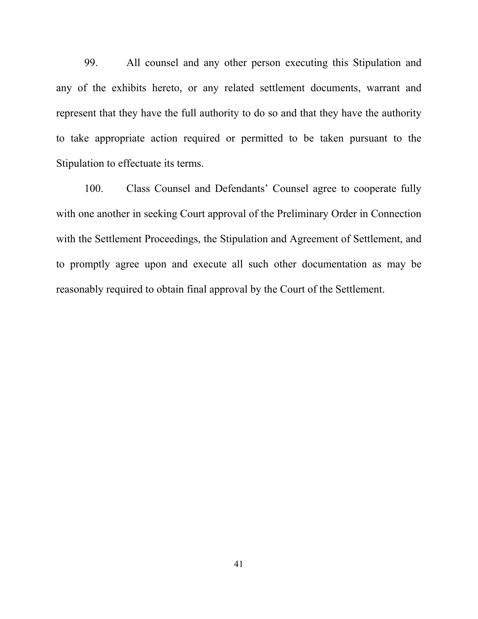99. All counsel and any other person executing this Stipulation and any of the exhibits hereto, or any related settlement documents, warrant and represent that they have the full authority to do so and that they have the authority to take appropriate action required or permitted to be taken pursuant to the Stipulation to effectuate its terms.

100. Class Counsel and Defendants' Counsel agree to cooperate fully with one another in seeking Court approval of the Preliminary Order in Connection with the Settlement Proceedings, the Stipulation and Agreement of Settlement, and to promptly agree upon and execute all such other documentation as may be reasonably required to obtain final approval by the Court of the Settlement.